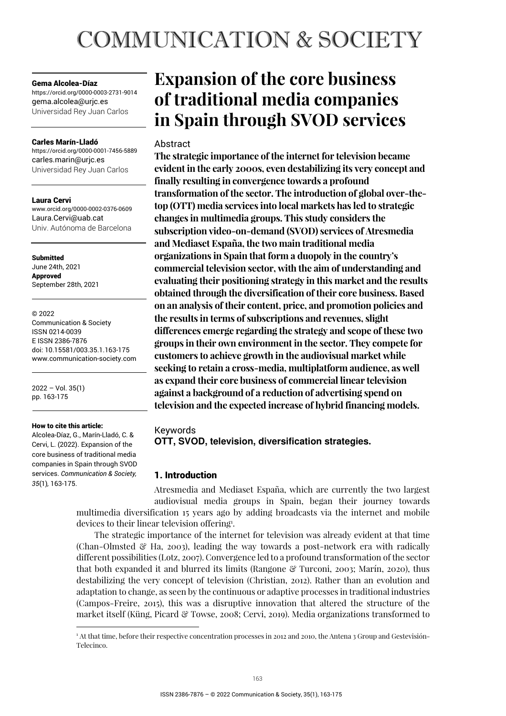# **COMMUNICATION & SOCIETY**

#### Gema Alcolea-Díaz

https://orcid.org/0000-0003-2731-9014 gema.alcolea@urjc.es Universidad Rey Juan Carlos

#### Carles Marín-Lladó

https://orcid.org/0000-0001-7456-5889 carles.marin@urjc.es Universidad Rey Juan Carlos

#### Laura Cervi

www.orcid.org/0000-0002-0376-0609 Laura.Cervi@uab.cat Univ. Autónoma de Barcelona

Submitted June 24th, 2021 Approved September 28th, 2021

#### © 2022

Communication & Society ISSN 0214-0039 E ISSN 2386-7876 doi: 10.15581/003.35.1.163-175 www.communication-society.com

2022 – Vol. 35(1) pp. 163-175

#### How to cite this article:

Alcolea-Díaz, G., Marín-Lladó, C. & Cervi, L. (2022). Expansion of the core business of traditional media companies in Spain through SVOD services. *Communication & Society, 35*(1)*,* 163-175.

# **Expansion of the core business of traditional media companies in Spain through SVOD services**

# Abstract

**The strategic importance of the internet for television became evident in the early 2000s, even destabilizing its very concept and finally resulting in convergence towards a profound transformation of the sector. The introduction of global over-thetop (OTT) media services into local markets has led to strategic changes in multimedia groups. This study considers the subscription video-on-demand (SVOD) services of Atresmedia and Mediaset España, the two main traditional media organizations in Spain that form a duopoly in the country's commercial television sector, with the aim of understanding and evaluating their positioning strategy in this market and the results obtained through the diversification of their core business. Based on an analysis of their content, price, and promotion policies and the results in terms of subscriptions and revenues, slight differences emerge regarding the strategy and scope of these two groups in their own environment in the sector. They compete for customers to achieve growth in the audiovisual market while seeking to retain a cross-media, multiplatform audience, as well as expand their core business of commercial linear television against a background of a reduction of advertising spend on television and the expected increase of hybrid financing models.** 

# Keywords

**OTT, SVOD, television, diversification strategies.** 

# 1. Introduction

Atresmedia and Mediaset España, which are currently the two largest audiovisual media groups in Spain, began their journey towards multimedia diversification 15 years ago by adding broadcasts via the internet and mobile devices to their linear television offering<sup>1</sup>.

The strategic importance of the internet for television was already evident at that time (Chan-Olmsted  $\mathcal{C}$  Ha, 2003), leading the way towards a post-network era with radically different possibilities (Lotz, 2007). Convergence led to a profound transformation of the sector that both expanded it and blurred its limits (Rangone & Turconi, 2003; Marín, 2020), thus destabilizing the very concept of television (Christian, 2012). Rather than an evolution and adaptation to change, as seen by the continuous or adaptive processes in traditional industries (Campos-Freire, 2015), this was a disruptive innovation that altered the structure of the market itself (Küng, Picard & Towse, 2008; Cervi, 2019). Media organizations transformed to

<sup>1</sup> At that time, before their respective concentration processes in 2012 and 2010, the Antena 3 Group and Gestevisión-Telecinco.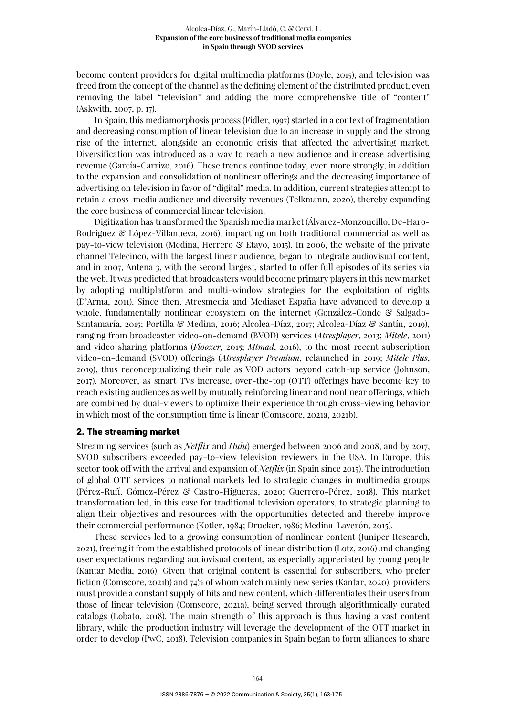become content providers for digital multimedia platforms (Doyle, 2015), and television was freed from the concept of the channel as the defining element of the distributed product, even removing the label "television" and adding the more comprehensive title of "content" (Askwith, 2007, p. 17).

In Spain, this mediamorphosis process (Fidler, 1997) started in a context of fragmentation and decreasing consumption of linear television due to an increase in supply and the strong rise of the internet, alongside an economic crisis that affected the advertising market. Diversification was introduced as a way to reach a new audience and increase advertising revenue (García-Carrizo, 2016). These trends continue today, even more strongly, in addition to the expansion and consolidation of nonlinear offerings and the decreasing importance of advertising on television in favor of "digital" media. In addition, current strategies attempt to retain a cross-media audience and diversify revenues (Telkmann, 2020), thereby expanding the core business of commercial linear television.

Digitization has transformed the Spanish media market (Álvarez-Monzoncillo, De-Haro-Rodríguez & López-Villanueva, 2016), impacting on both traditional commercial as well as pay-to-view television (Medina, Herrero & Etayo, 2015). In 2006, the website of the private channel Telecinco, with the largest linear audience, began to integrate audiovisual content, and in 2007, Antena 3, with the second largest, started to offer full episodes of its series via the web. It was predicted that broadcasters would become primary players in this new market by adopting multiplatform and multi-window strategies for the exploitation of rights (D'Arma, 2011). Since then, Atresmedia and Mediaset España have advanced to develop a whole, fundamentally nonlinear ecosystem on the internet (González-Conde  $\mathcal{C}$  Salgado-Santamaría, 2015; Portilla & Medina, 2016; Alcolea-Díaz, 2017; Alcolea-Díaz & Santín, 2019), ranging from broadcaster video-on-demand (BVOD) services (*Atresplayer*, 2013; *Mitele*, 2011) and video sharing platforms (*Flooxer*, 2015; *Mtmad*, 2016), to the most recent subscription video-on-demand (SVOD) offerings (*Atresplayer Premium*, relaunched in 2019; *Mitele Plus*, 2019), thus reconceptualizing their role as VOD actors beyond catch-up service (Johnson, 2017). Moreover, as smart TVs increase, over-the-top (OTT) offerings have become key to reach existing audiences as well by mutually reinforcing linear and nonlinear offerings, which are combined by dual-viewers to optimize their experience through cross-viewing behavior in which most of the consumption time is linear (Comscore, 2021a, 2021b).

#### 2. The streaming market

Streaming services (such as *Netflix* and *Hulu*) emerged between 2006 and 2008, and by 2017, SVOD subscribers exceeded pay-to-view television reviewers in the USA. In Europe, this sector took off with the arrival and expansion of *Netflix* (in Spain since 2015). The introduction of global OTT services to national markets led to strategic changes in multimedia groups (Pérez-Rufí, Gómez-Pérez & Castro-Higueras, 2020; Guerrero-Pérez, 2018). This market transformation led, in this case for traditional television operators, to strategic planning to align their objectives and resources with the opportunities detected and thereby improve their commercial performance (Kotler, 1984; Drucker, 1986; Medina-Laverón, 2015).

These services led to a growing consumption of nonlinear content (Juniper Research, 2021), freeing it from the established protocols of linear distribution (Lotz, 2016) and changing user expectations regarding audiovisual content, as especially appreciated by young people (Kantar Media, 2016). Given that original content is essential for subscribers, who prefer fiction (Comscore, 2021b) and 74% of whom watch mainly new series (Kantar, 2020), providers must provide a constant supply of hits and new content, which differentiates their users from those of linear television (Comscore, 2021a), being served through algorithmically curated catalogs (Lobato, 2018). The main strength of this approach is thus having a vast content library, while the production industry will leverage the development of the OTT market in order to develop (PwC, 2018). Television companies in Spain began to form alliances to share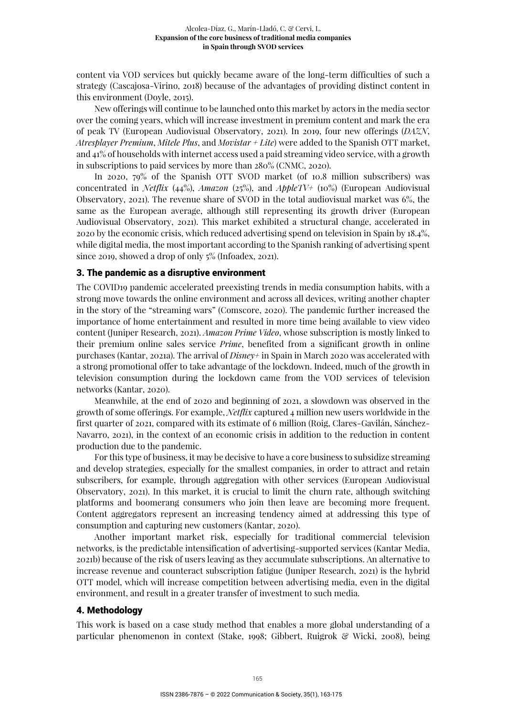content via VOD services but quickly became aware of the long-term difficulties of such a strategy (Cascajosa-Virino, 2018) because of the advantages of providing distinct content in this environment (Doyle, 2015).

New offerings will continue to be launched onto this market by actors in the media sector over the coming years, which will increase investment in premium content and mark the era of peak TV (European Audiovisual Observatory, 2021). In 2019, four new offerings (*DAZN*, *Atresplayer Premium*, *Mitele Plus*, and *Movistar + Lite*) were added to the Spanish OTT market, and 41% of households with internet access used a paid streaming video service, with a growth in subscriptions to paid services by more than 280% (CNMC, 2020).

In 2020, 79% of the Spanish OTT SVOD market (of 10.8 million subscribers) was concentrated in *Netflix* (44%), *Amazon* (25%), and *AppleTV+* (10%) (European Audiovisual Observatory, 2021). The revenue share of SVOD in the total audiovisual market was 6%, the same as the European average, although still representing its growth driver (European Audiovisual Observatory, 2021). This market exhibited a structural change, accelerated in 2020 by the economic crisis, which reduced advertising spend on television in Spain by 18.4%, while digital media, the most important according to the Spanish ranking of advertising spent since 2019, showed a drop of only 5% (Infoadex, 2021).

#### 3. The pandemic as a disruptive environment

The COVID19 pandemic accelerated preexisting trends in media consumption habits, with a strong move towards the online environment and across all devices, writing another chapter in the story of the "streaming wars" (Comscore, 2020). The pandemic further increased the importance of home entertainment and resulted in more time being available to view video content (Juniper Research, 2021). *Amazon Prime Video*, whose subscription is mostly linked to their premium online sales service *Prime*, benefited from a significant growth in online purchases (Kantar, 2021a). The arrival of *Disney+* in Spain in March 2020 was accelerated with a strong promotional offer to take advantage of the lockdown. Indeed, much of the growth in television consumption during the lockdown came from the VOD services of television networks (Kantar, 2020).

Meanwhile, at the end of 2020 and beginning of 2021, a slowdown was observed in the growth of some offerings. For example, *Netflix* captured 4 million new users worldwide in the first quarter of 2021, compared with its estimate of 6 million (Roig, Clares-Gavilán, Sánchez-Navarro, 2021), in the context of an economic crisis in addition to the reduction in content production due to the pandemic.

For this type of business, it may be decisive to have a core business to subsidize streaming and develop strategies, especially for the smallest companies, in order to attract and retain subscribers, for example, through aggregation with other services (European Audiovisual Observatory, 2021). In this market, it is crucial to limit the churn rate, although switching platforms and boomerang consumers who join then leave are becoming more frequent. Content aggregators represent an increasing tendency aimed at addressing this type of consumption and capturing new customers (Kantar, 2020).

Another important market risk, especially for traditional commercial television networks, is the predictable intensification of advertising-supported services (Kantar Media, 2021b) because of the risk of users leaving as they accumulate subscriptions. An alternative to increase revenue and counteract subscription fatigue (Juniper Research, 2021) is the hybrid OTT model, which will increase competition between advertising media, even in the digital environment, and result in a greater transfer of investment to such media.

#### 4. Methodology

This work is based on a case study method that enables a more global understanding of a particular phenomenon in context (Stake, 1998; Gibbert, Ruigrok & Wicki, 2008), being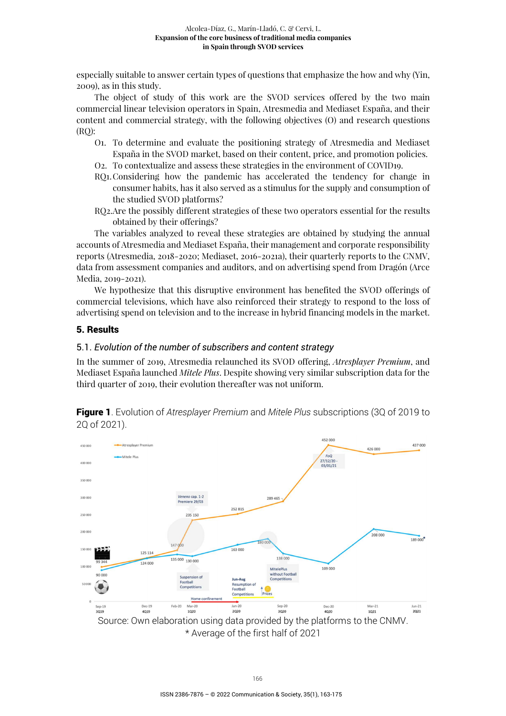especially suitable to answer certain types of questions that emphasize the how and why (Yin, 2009), as in this study.

The object of study of this work are the SVOD services offered by the two main commercial linear television operators in Spain, Atresmedia and Mediaset España, and their content and commercial strategy, with the following objectives (O) and research questions (RQ):

- O1. To determine and evaluate the positioning strategy of Atresmedia and Mediaset España in the SVOD market, based on their content, price, and promotion policies.
- O2. To contextualize and assess these strategies in the environment of COVID19.
- RQ1. Considering how the pandemic has accelerated the tendency for change in consumer habits, has it also served as a stimulus for the supply and consumption of the studied SVOD platforms?
- RQ2.Are the possibly different strategies of these two operators essential for the results obtained by their offerings?

The variables analyzed to reveal these strategies are obtained by studying the annual accounts of Atresmedia and Mediaset España, their management and corporate responsibility reports (Atresmedia, 2018-2020; Mediaset, 2016-2021a), their quarterly reports to the CNMV, data from assessment companies and auditors, and on advertising spend from Dragón (Arce Media, 2019-2021).

We hypothesize that this disruptive environment has benefited the SVOD offerings of commercial televisions, which have also reinforced their strategy to respond to the loss of advertising spend on television and to the increase in hybrid financing models in the market.

# 5. Results

### 5.1. *Evolution of the number of subscribers and content strategy*

In the summer of 2019, Atresmedia relaunched its SVOD offering, *Atresplayer Premium*, and Mediaset España launched *Mitele Plus*. Despite showing very similar subscription data for the third quarter of 2019, their evolution thereafter was not uniform.



Figure 1. Evolution of *Atresplayer Premium* and *Mitele Plus* subscriptions (3Q of 2019 to 2Q of 2021).

\* Average of the first half of 2021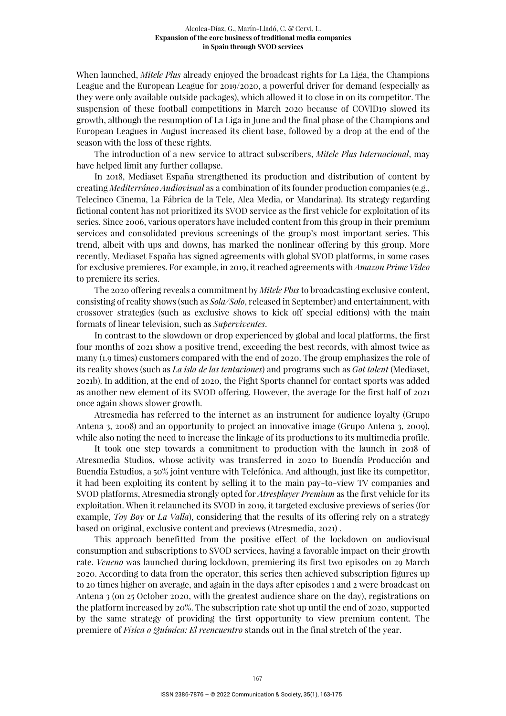When launched, *Mitele Plus* already enjoyed the broadcast rights for La Liga, the Champions League and the European League for 2019/2020, a powerful driver for demand (especially as they were only available outside packages), which allowed it to close in on its competitor. The suspension of these football competitions in March 2020 because of COVID19 slowed its growth, although the resumption of La Liga in June and the final phase of the Champions and European Leagues in August increased its client base, followed by a drop at the end of the season with the loss of these rights.

The introduction of a new service to attract subscribers, *Mitele Plus Internacional*, may have helped limit any further collapse.

In 2018, Mediaset España strengthened its production and distribution of content by creating *Mediterráneo Audiovisual* as a combination of its founder production companies (e.g., Telecinco Cinema, La Fábrica de la Tele, Alea Media, or Mandarina). Its strategy regarding fictional content has not prioritized its SVOD service as the first vehicle for exploitation of its series. Since 2006, various operators have included content from this group in their premium services and consolidated previous screenings of the group's most important series. This trend, albeit with ups and downs, has marked the nonlinear offering by this group. More recently, Mediaset España has signed agreements with global SVOD platforms, in some cases for exclusive premieres. For example, in 2019, it reached agreements with *Amazon Prime Video* to premiere its series.

The 2020 offering reveals a commitment by *Mitele Plus* to broadcasting exclusive content, consisting of reality shows (such as *Sola/Solo*, released in September) and entertainment, with crossover strategies (such as exclusive shows to kick off special editions) with the main formats of linear television, such as *Superviventes*.

In contrast to the slowdown or drop experienced by global and local platforms, the first four months of 2021 show a positive trend, exceeding the best records, with almost twice as many (1.9 times) customers compared with the end of 2020. The group emphasizes the role of its reality shows (such as *La isla de las tentaciones*) and programs such as *Got talent* (Mediaset, 2021b). In addition, at the end of 2020, the Fight Sports channel for contact sports was added as another new element of its SVOD offering. However, the average for the first half of 2021 once again shows slower growth.

Atresmedia has referred to the internet as an instrument for audience loyalty (Grupo Antena 3, 2008) and an opportunity to project an innovative image (Grupo Antena 3, 2009), while also noting the need to increase the linkage of its productions to its multimedia profile.

It took one step towards a commitment to production with the launch in 2018 of Atresmedia Studios, whose activity was transferred in 2020 to Buendía Producción and Buendía Estudios, a 50% joint venture with Telefónica. And although, just like its competitor, it had been exploiting its content by selling it to the main pay-to-view TV companies and SVOD platforms, Atresmedia strongly opted for *Atresplayer Premium* as the first vehicle for its exploitation. When it relaunched its SVOD in 2019, it targeted exclusive previews of series (for example, *Toy Boy* or *La Valla*), considering that the results of its offering rely on a strategy based on original, exclusive content and previews (Atresmedia, 2021) .

This approach benefitted from the positive effect of the lockdown on audiovisual consumption and subscriptions to SVOD services, having a favorable impact on their growth rate. *Veneno* was launched during lockdown, premiering its first two episodes on 29 March 2020. According to data from the operator, this series then achieved subscription figures up to 20 times higher on average, and again in the days after episodes 1 and 2 were broadcast on Antena 3 (on 25 October 2020, with the greatest audience share on the day), registrations on the platform increased by 20%. The subscription rate shot up until the end of 2020, supported by the same strategy of providing the first opportunity to view premium content. The premiere of *Física o Química: El reencuentro* stands out in the final stretch of the year.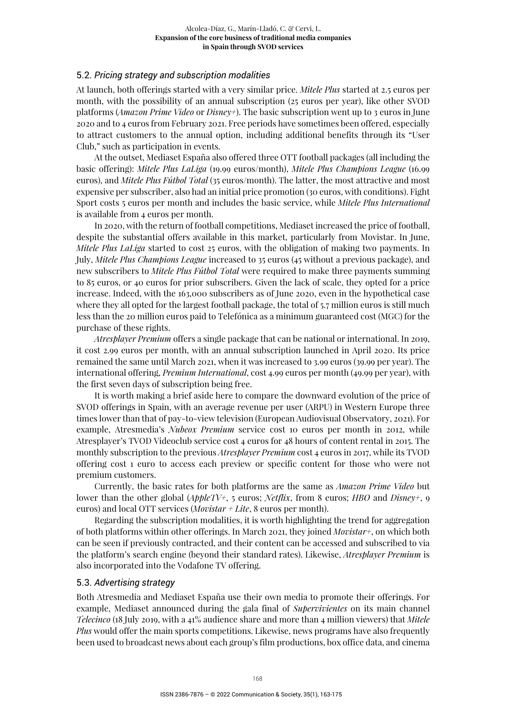### 5.2. *Pricing strategy and subscription modalities*

At launch, both offerings started with a very similar price. *Mitele Plus* started at 2.5 euros per month, with the possibility of an annual subscription (25 euros per year), like other SVOD platforms (*Amazon Prime Video* or *Disney+*). The basic subscription went up to 3 euros in June 2020 and to 4 euros from February 2021. Free periods have sometimes been offered, especially to attract customers to the annual option, including additional benefits through its "User Club," such as participation in events.

At the outset, Mediaset España also offered three OTT football packages (all including the basic offering): *Mitele Plus LaLiga* (19.99 euros/month), *Mitele Plus Champions League* (16.99 euros), and *Mitele Plus Fútbol Total* (35 euros/month). The latter, the most attractive and most expensive per subscriber, also had an initial price promotion (30 euros, with conditions). Fight Sport costs 5 euros per month and includes the basic service, while *Mitele Plus International* is available from 4 euros per month.

In 2020, with the return of football competitions, Mediaset increased the price of football, despite the substantial offers available in this market, particularly from Movistar. In June, *Mitele Plus LaLiga* started to cost 25 euros, with the obligation of making two payments. In July, *Mitele Plus Champions League* increased to 35 euros (45 without a previous package), and new subscribers to *Mitele Plus Fútbol Total* were required to make three payments summing to 85 euros, or 40 euros for prior subscribers. Given the lack of scale, they opted for a price increase. Indeed, with the 163,000 subscribers as of June 2020, even in the hypothetical case where they all opted for the largest football package, the total of 5.7 million euros is still much less than the 20 million euros paid to Telefónica as a minimum guaranteed cost (MGC) for the purchase of these rights.

*Atresplayer Premium* offers a single package that can be national or international. In 2019, it cost 2.99 euros per month, with an annual subscription launched in April 2020. Its price remained the same until March 2021, when it was increased to 3.99 euros (39.99 per year). The international offering, *Premium International*, cost 4.99 euros per month (49.99 per year), with the first seven days of subscription being free.

It is worth making a brief aside here to compare the downward evolution of the price of SVOD offerings in Spain, with an average revenue per user (ARPU) in Western Europe three times lower than that of pay-to-view television (European Audiovisual Observatory, 2021). For example, Atresmedia's *Nubeox Premium* service cost 10 euros per month in 2012, while Atresplayer's TVOD Videoclub service cost 4 euros for 48 hours of content rental in 2015. The monthly subscription to the previous *Atresplayer Premium* cost 4 euros in 2017, while its TVOD offering cost 1 euro to access each preview or specific content for those who were not premium customers.

Currently, the basic rates for both platforms are the same as *Amazon Prime Video* but lower than the other global (*AppleTV+*, 5 euros; *Netflix*, from 8 euros; *HBO* and *Disney+*, 9 euros) and local OTT services (*Movistar + Lite*, 8 euros per month).

Regarding the subscription modalities, it is worth highlighting the trend for aggregation of both platforms within other offerings. In March 2021, they joined *Movistar+*, on which both can be seen if previously contracted, and their content can be accessed and subscribed to via the platform's search engine (beyond their standard rates). Likewise, *Atresplayer Premium* is also incorporated into the Vodafone TV offering.

#### 5.3. *Advertising strategy*

Both Atresmedia and Mediaset España use their own media to promote their offerings. For example, Mediaset announced during the gala final of *Supervivientes* on its main channel *Telecinco* (18 July 2019, with a 41% audience share and more than 4 million viewers) that *Mitele Plus* would offer the main sports competitions. Likewise, news programs have also frequently been used to broadcast news about each group's film productions, box office data, and cinema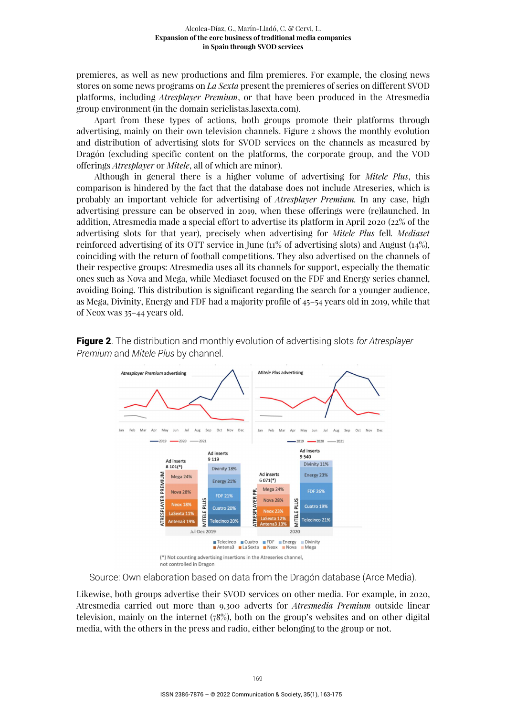premieres, as well as new productions and film premieres. For example, the closing news stores on some news programs on *La Sexta* present the premieres of series on different SVOD platforms, including *Atresplayer Premium*, or that have been produced in the Atresmedia group environment (in the domain serielistas.lasexta.com).

Apart from these types of actions, both groups promote their platforms through advertising, mainly on their own television channels. Figure 2 shows the monthly evolution and distribution of advertising slots for SVOD services on the channels as measured by Dragón (excluding specific content on the platforms, the corporate group, and the VOD offerings *Atresplayer* or *Mitele*, all of which are minor).

Although in general there is a higher volume of advertising for *Mitele Plus*, this comparison is hindered by the fact that the database does not include Atreseries, which is probably an important vehicle for advertising of *Atresplayer Premium.* In any case, high advertising pressure can be observed in 2019, when these offerings were (re)launched. In addition, Atresmedia made a special effort to advertise its platform in April 2020 (22% of the advertising slots for that year), precisely when advertising for *Mitele Plus* fell*. Mediaset*  reinforced advertising of its OTT service in June (11% of advertising slots) and August (14%), coinciding with the return of football competitions. They also advertised on the channels of their respective groups: Atresmedia uses all its channels for support, especially the thematic ones such as Nova and Mega, while Mediaset focused on the FDF and Energy series channel, avoiding Boing. This distribution is significant regarding the search for a younger audience, as Mega, Divinity, Energy and FDF had a majority profile of 45–54 years old in 2019, while that of Neox was 35–44 years old.



Figure 2. The distribution and monthly evolution of advertising slots *for Atresplayer Premium* and *Mitele Plus* by channel.

Source: Own elaboration based on data from the Dragón database (Arce Media).

Likewise, both groups advertise their SVOD services on other media. For example, in 2020, Atresmedia carried out more than 9,300 adverts for *Atresmedia Premium* outside linear television, mainly on the internet (78%), both on the group's websites and on other digital media, with the others in the press and radio, either belonging to the group or not.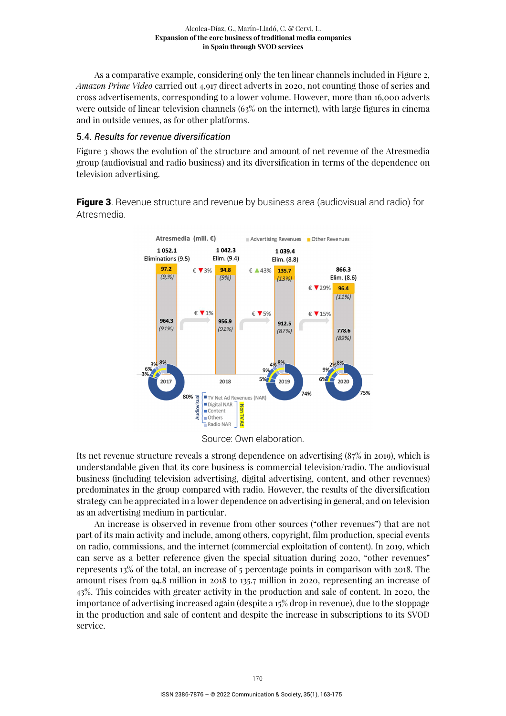As a comparative example, considering only the ten linear channels included in Figure 2, *Amazon Prime Video* carried out 4,917 direct adverts in 2020, not counting those of series and cross advertisements, corresponding to a lower volume. However, more than 16,000 adverts were outside of linear television channels (63% on the internet), with large figures in cinema and in outside venues, as for other platforms.

#### 5.4. *Results for revenue diversification*

Figure 3 shows the evolution of the structure and amount of net revenue of the Atresmedia group (audiovisual and radio business) and its diversification in terms of the dependence on television advertising.

**Figure 3.** Revenue structure and revenue by business area (audiovisual and radio) for Atresmedia.



Source: Own elaboration.

Its net revenue structure reveals a strong dependence on advertising (87% in 2019), which is understandable given that its core business is commercial television/radio. The audiovisual business (including television advertising, digital advertising, content, and other revenues) predominates in the group compared with radio. However, the results of the diversification strategy can be appreciated in a lower dependence on advertising in general, and on television as an advertising medium in particular.

An increase is observed in revenue from other sources ("other revenues") that are not part of its main activity and include, among others, copyright, film production, special events on radio, commissions, and the internet (commercial exploitation of content). In 2019, which can serve as a better reference given the special situation during 2020, "other revenues" represents 13% of the total, an increase of 5 percentage points in comparison with 2018. The amount rises from 94.8 million in 2018 to 135.7 million in 2020, representing an increase of 43%. This coincides with greater activity in the production and sale of content. In 2020, the importance of advertising increased again (despite a 15% drop in revenue), due to the stoppage in the production and sale of content and despite the increase in subscriptions to its SVOD service.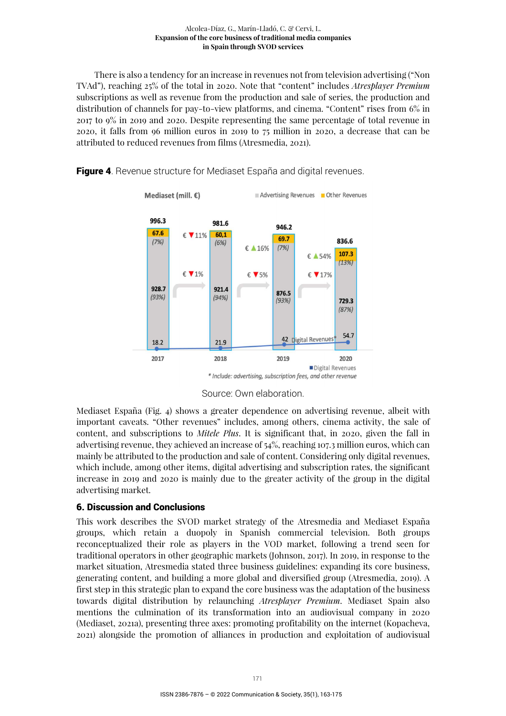#### Alcolea-Díaz, G., Marín-Lladó, C. & Cervi, L. **Expansion of the core business of traditional media companies in Spain through SVOD services**

There is also a tendency for an increase in revenues not from television advertising ("Non TVAd"), reaching 25% of the total in 2020. Note that "content" includes *Atresplayer Premium* subscriptions as well as revenue from the production and sale of series, the production and distribution of channels for pay-to-view platforms, and cinema. "Content" rises from 6% in 2017 to 9% in 2019 and 2020. Despite representing the same percentage of total revenue in 2020, it falls from 96 million euros in 2019 to 75 million in 2020, a decrease that can be attributed to reduced revenues from films (Atresmedia, 2021).

**Figure 4.** Revenue structure for Mediaset España and digital revenues.



Source: Own elaboration.

Mediaset España (Fig. 4) shows a greater dependence on advertising revenue, albeit with important caveats. "Other revenues" includes, among others, cinema activity, the sale of content, and subscriptions to *Mitele Plus*. It is significant that, in 2020, given the fall in advertising revenue, they achieved an increase of 54%, reaching 107.3 million euros, which can mainly be attributed to the production and sale of content. Considering only digital revenues, which include, among other items, digital advertising and subscription rates, the significant increase in 2019 and 2020 is mainly due to the greater activity of the group in the digital advertising market.

# 6. Discussion and Conclusions

This work describes the SVOD market strategy of the Atresmedia and Mediaset España groups, which retain a duopoly in Spanish commercial television. Both groups reconceptualized their role as players in the VOD market, following a trend seen for traditional operators in other geographic markets (Johnson, 2017). In 2019, in response to the market situation, Atresmedia stated three business guidelines: expanding its core business, generating content, and building a more global and diversified group (Atresmedia, 2019). A first step in this strategic plan to expand the core business was the adaptation of the business towards digital distribution by relaunching *Atresplayer Premium*. Mediaset Spain also mentions the culmination of its transformation into an audiovisual company in 2020 (Mediaset, 2021a), presenting three axes: promoting profitability on the internet (Kopacheva, 2021) alongside the promotion of alliances in production and exploitation of audiovisual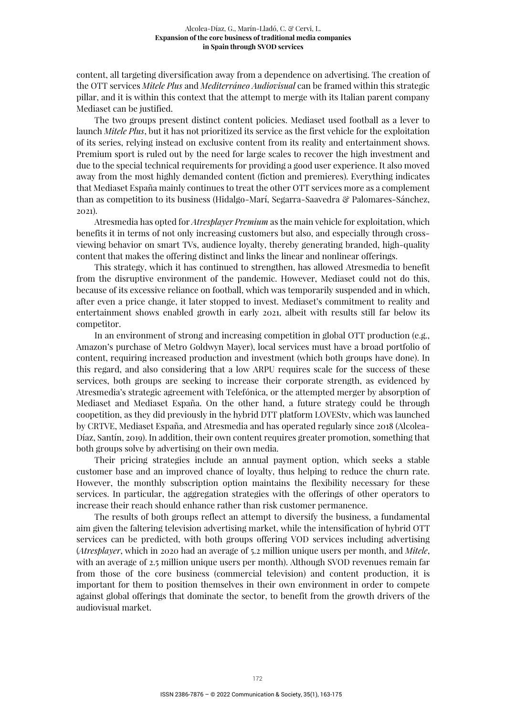content, all targeting diversification away from a dependence on advertising. The creation of the OTT services *Mitele Plus* and *Mediterráneo Audiovisual* can be framed within this strategic pillar, and it is within this context that the attempt to merge with its Italian parent company Mediaset can be justified.

The two groups present distinct content policies. Mediaset used football as a lever to launch *Mitele Plus*, but it has not prioritized its service as the first vehicle for the exploitation of its series, relying instead on exclusive content from its reality and entertainment shows. Premium sport is ruled out by the need for large scales to recover the high investment and due to the special technical requirements for providing a good user experience. It also moved away from the most highly demanded content (fiction and premieres). Everything indicates that Mediaset España mainly continues to treat the other OTT services more as a complement than as competition to its business (Hidalgo-Marí, Segarra-Saavedra & Palomares-Sánchez, 2021).

Atresmedia has opted for *Atresplayer Premium* as the main vehicle for exploitation, which benefits it in terms of not only increasing customers but also, and especially through crossviewing behavior on smart TVs, audience loyalty, thereby generating branded, high-quality content that makes the offering distinct and links the linear and nonlinear offerings.

This strategy, which it has continued to strengthen, has allowed Atresmedia to benefit from the disruptive environment of the pandemic. However, Mediaset could not do this, because of its excessive reliance on football, which was temporarily suspended and in which, after even a price change, it later stopped to invest. Mediaset's commitment to reality and entertainment shows enabled growth in early 2021, albeit with results still far below its competitor.

In an environment of strong and increasing competition in global OTT production (e.g., Amazon's purchase of Metro Goldwyn Mayer), local services must have a broad portfolio of content, requiring increased production and investment (which both groups have done). In this regard, and also considering that a low ARPU requires scale for the success of these services, both groups are seeking to increase their corporate strength, as evidenced by Atresmedia's strategic agreement with Telefónica, or the attempted merger by absorption of Mediaset and Mediaset España. On the other hand, a future strategy could be through coopetition, as they did previously in the hybrid DTT platform LOVEStv, which was launched by CRTVE, Mediaset España, and Atresmedia and has operated regularly since 2018 (Alcolea-Díaz, Santín, 2019). In addition, their own content requires greater promotion, something that both groups solve by advertising on their own media.

Their pricing strategies include an annual payment option, which seeks a stable customer base and an improved chance of loyalty, thus helping to reduce the churn rate. However, the monthly subscription option maintains the flexibility necessary for these services. In particular, the aggregation strategies with the offerings of other operators to increase their reach should enhance rather than risk customer permanence.

The results of both groups reflect an attempt to diversify the business, a fundamental aim given the faltering television advertising market, while the intensification of hybrid OTT services can be predicted, with both groups offering VOD services including advertising (*Atresplayer*, which in 2020 had an average of 5.2 million unique users per month, and *Mitele*, with an average of 2.5 million unique users per month). Although SVOD revenues remain far from those of the core business (commercial television) and content production, it is important for them to position themselves in their own environment in order to compete against global offerings that dominate the sector, to benefit from the growth drivers of the audiovisual market.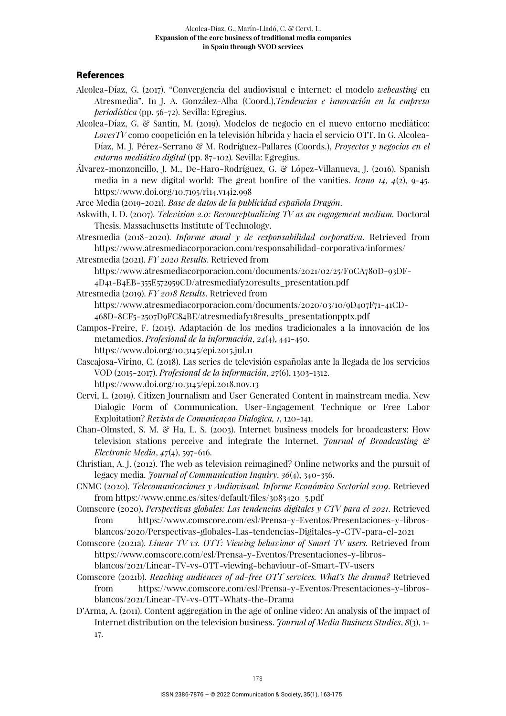## **References**

- Alcolea-Díaz, G. (2017). "Convergencia del audiovisual e internet: el modelo *webcasting* en Atresmedia". In J. A. González-Alba (Coord.),*Tendencias e innovación en la empresa periodística* (pp. 56-72). Sevilla: Egregius.
- Alcolea-Díaz, G. & Santín, M. (2019). Modelos de negocio en el nuevo entorno mediático: *LovesTV* como coopetición en la televisión híbrida y hacia el servicio OTT. In G. Alcolea-Díaz, M. J. Pérez-Serrano & M. Rodríguez-Pallares (Coords.), *Proyectos y negocios en el entorno mediático digital* (pp. 87-102)*.* Sevilla: Egregius.

Álvarez-monzoncillo, J. M., De-Haro-Rodríguez, G. & López-Villanueva, J. (2016). Spanish media in a new digital world: The great bonfire of the vanities. *Icono 14, 4*(2), 9-45. https://www.doi.org/10.7195/ri14.v14i2.998

Arce Media (2019-2021). *Base de datos de la publicidad española Dragón*.

- Askwith, I. D. (2007). *Television 2.0: Reconceptualizing TV as an engagement medium.* Doctoral Thesis. Massachusetts Institute of Technology.
- Atresmedia (2018-2020). *Informe anual y de responsabilidad corporativa*. Retrieved from https://www.atresmediacorporacion.com/responsabilidad-corporativa/informes/
- Atresmedia (2021). *FY 2020 Results*. Retrieved from https://www.atresmediacorporacion.com/documents/2021/02/25/F0CA780D-93DF-4D41-B4EB-355E572959CD/atresmediafy20results\_presentation.pdf
- Atresmedia (2019). *FY 2018 Results*. Retrieved from https://www.atresmediacorporacion.com/documents/2020/03/10/9D407F71-41CD-468D-8CF5-2507D9FC84BE/atresmediafy18results\_presentationpptx.pdf
- Campos-Freire, F. (2015). Adaptación de los medios tradicionales a la innovación de los metamedios. *Profesional de la información*, *24*(4), 441-450. https://www.doi.org/10.3145/epi.2015.jul.11
- Cascajosa-Virino, C. (2018). Las series de televisión españolas ante la llegada de los servicios VOD (2015-2017). *Profesional de la información*, *27*(6), 1303-1312. https://www.doi.org/10.3145/epi.2018.nov.13
- Cervi, L. (2019). Citizen Journalism and User Generated Content in mainstream media. New Dialogic Form of Communication, User-Engagement Technique or Free Labor
- Exploitation? *Revista de Comunicaçao Dialogica, 1*, 120-141. Chan-Olmsted, S. M. & Ha, L. S. (2003). Internet business models for broadcasters: How television stations perceive and integrate the Internet. *Journal of Broadcasting & Electronic Media*, *47*(4), 597-616.
- Christian, A. J. (2012). The web as television reimagined? Online networks and the pursuit of legacy media. *Journal of Communication Inquiry*. *36*(4), 340-356.
- CNMC (2020). *Telecomunicaciones y Audiovisual. Informe Económico Sectorial 2019*. Retrieved from https://www.cnmc.es/sites/default/files/3083420\_5.pdf
- Comscore (2020)**.** *Perspectivas globales: Las tendencias digitales y CTV para el 2021*. Retrieved from https://www.comscore.com/esl/Prensa-y-Eventos/Presentaciones-y-librosblancos/2020/Perspectivas-globales-Las-tendencias-Digitales-y-CTV-para-el-2021
- Comscore (2021a). *Linear TV vs. OTT: Viewing behaviour of Smart TV users.* Retrieved from https://www.comscore.com/esl/Prensa-y-Eventos/Presentaciones-y-librosblancos/2021/Linear-TV-vs-OTT-viewing-behaviour-of-Smart-TV-users
- Comscore (2021b). *Reaching audiences of ad-free OTT services. What's the drama?* Retrieved from https://www.comscore.com/esl/Prensa-y-Eventos/Presentaciones-y-librosblancos/2021/Linear-TV-vs-OTT-Whats-the-Drama
- D'Arma, A. (2011). Content aggregation in the age of online video: An analysis of the impact of Internet distribution on the television business. *Journal of Media Business Studies*, *8*(3), 1- 17.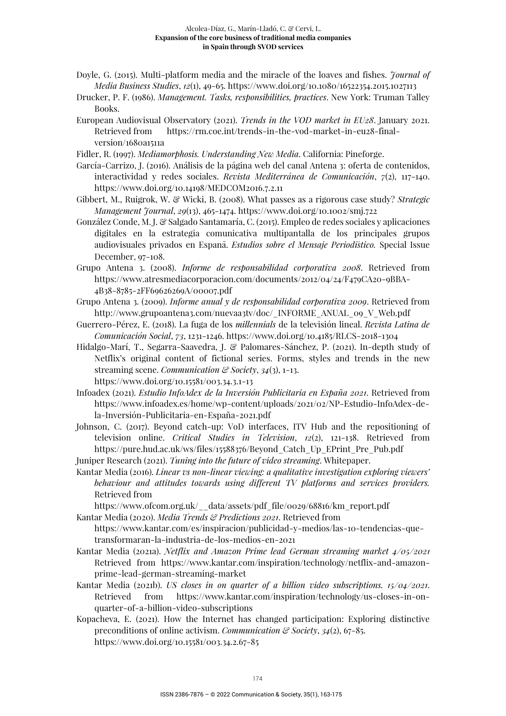- Doyle, G. (2015). Multi-platform media and the miracle of the loaves and fishes. *Journal of Media Business Studies*, *12*(1), 49-65. https://www.doi.org/10.1080/16522354.2015.1027113
- Drucker, P. F. (1986). *Management. Tasks, responsibilities, practices*. New York: Truman Talley Books.
- European Audiovisual Observatory (2021). *Trends in the VOD market in EU28*. January 2021. Retrieved from https://rm.coe.int/trends-in-the-vod-market-in-eu28-finalversion/1680a1511a

Fidler, R. (1997). *Mediamorphosis. Understanding New Media*. California: Pineforge.

- García-Carrizo, J. (2016). Análisis de la página web del canal Antena 3: oferta de contenidos, interactividad y redes sociales. *Revista Mediterránea de Comunicación*, *7*(2), 117-140. https://www.doi.org/10.14198/MEDCOM2016.7.2.11
- Gibbert, M., Ruigrok, W. & Wicki, B. (2008). What passes as a rigorous case study? *Strategic Management Journal*, *29*(13), 465-1474. https://www.doi.org/10.1002/smj.722
- González Conde, M. J. & Salgado Santamaría, C. (2015). Empleo de redes sociales y aplicaciones digitales en la estrategia comunicativa multipantalla de los principales grupos audiovisuales privados en España. *Estudios sobre el Mensaje Periodístico.* Special Issue December, 97-108.
- Grupo Antena 3. (2008). *Informe de responsabilidad corporativa 2008*. Retrieved from https://www.atresmediacorporacion.com/documents/2012/04/24/F479CA20-9BBA-4B38-8785-2FF69626269A/00007.pdf
- Grupo Antena 3. (2009). *Informe anual y de responsabilidad corporativa 2009*. Retrieved from http://www.grupoantena3.com/nuevaa3tv/doc/\_INFORME\_ANUAL\_09\_V\_Web.pdf
- Guerrero-Pérez, E. (2018). La fuga de los *millennials* de la televisión lineal. *Revista Latina de Comunicación Social*, *73*, 1231-1246. https://www.doi.org/10.4185/RLCS-2018-1304
- Hidalgo-Marí, T., Segarra-Saavedra, J. & Palomares-Sánchez, P. (2021). In-depth study of Netflix's original content of fictional series. Forms, styles and trends in the new streaming scene. *Communication & Society*, *34*(3), 1-13. https://www.doi.org/10.15581/003.34.3.1-13
- Infoadex (2021). *Estudio InfoAdex de la Inversión Publicitaria en España 2021*. Retrieved from https://www.infoadex.es/home/wp-content/uploads/2021/02/NP-Estudio-InfoAdex-dela-Inversión-Publicitaria-en-España-2021.pdf
- Johnson, C. (2017). Beyond catch-up: VoD interfaces, ITV Hub and the repositioning of television online. *Critical Studies in Television*, *12*(2), 121-138. Retrieved from https://pure.hud.ac.uk/ws/files/15588376/Beyond\_Catch\_Up\_EPrint\_Pre\_Pub.pdf
- Juniper Research (2021). *Tuning into the future of video streaming*. Whitepaper.
- Kantar Media (2016). *Linear vs non-linear viewing: a qualitative investigation exploring viewers' behaviour and attitudes towards using different TV platforms and services providers.*  Retrieved from

https://www.ofcom.org.uk/\_\_data/assets/pdf\_file/0029/68816/km\_report.pdf Kantar Media (2020). *Media Trends & Predictions 2021*. Retrieved from

https://www.kantar.com/es/inspiracion/publicidad-y-medios/las-10-tendencias-quetransformaran-la-industria-de-los-medios-en-2021

- Kantar Media (2021a). *Netflix and Amazon Prime lead German streaming market 4/05/2021* Retrieved from https://www.kantar.com/inspiration/technology/netflix-and-amazonprime-lead-german-streaming-market
- Kantar Media (2021b). *US closes in on quarter of a billion video subscriptions. 15/04/2021*. Retrieved from https://www.kantar.com/inspiration/technology/us-closes-in-onquarter-of-a-billion-video-subscriptions
- Kopacheva, E. (2021). How the Internet has changed participation: Exploring distinctive preconditions of online activism. *Communication & Society*, *34*(2), 67-85. https://www.doi.org/10.15581/003.34.2.67-85